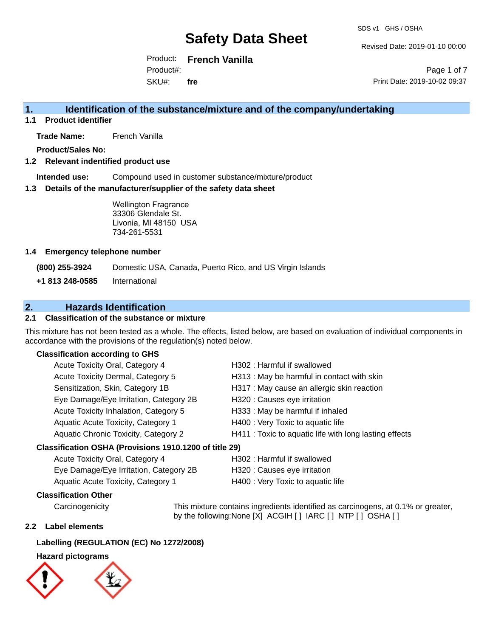Revised Date: 2019-01-10 00:00

Product: **French Vanilla** Product#:

SKU#: **fre**

Page 1 of 7 Print Date: 2019-10-02 09:37

## **1. Identification of the substance/mixture and of the company/undertaking**

**1.1 Product identifier**

**Trade Name:** French Vanilla

**Product/Sales No:**

#### **1.2 Relevant indentified product use**

**Intended use:** Compound used in customer substance/mixture/product

#### **1.3 Details of the manufacturer/supplier of the safety data sheet**

Wellington Fragrance 33306 Glendale St. Livonia, MI 48150 USA 734-261-5531

#### **1.4 Emergency telephone number**

**(800) 255-3924** Domestic USA, Canada, Puerto Rico, and US Virgin Islands

**+1 813 248-0585** International

## **2. Hazards Identification**

#### **2.1 Classification of the substance or mixture**

This mixture has not been tested as a whole. The effects, listed below, are based on evaluation of individual components in accordance with the provisions of the regulation(s) noted below.

#### **Classification according to GHS**

| Acute Toxicity Oral, Category 4                      | H302: Harmful if swallowed                             |
|------------------------------------------------------|--------------------------------------------------------|
| Acute Toxicity Dermal, Category 5                    | H313 : May be harmful in contact with skin             |
| Sensitization, Skin, Category 1B                     | H317 : May cause an allergic skin reaction             |
| Eye Damage/Eye Irritation, Category 2B               | H320 : Causes eye irritation                           |
| Acute Toxicity Inhalation, Category 5                | H333: May be harmful if inhaled                        |
| Aquatic Acute Toxicity, Category 1                   | H400 : Very Toxic to aquatic life                      |
| Aquatic Chronic Toxicity, Category 2                 | H411 : Toxic to aquatic life with long lasting effects |
| issification OSHA (Provisions 1910 1200 of title 29) |                                                        |

#### **Classification OSHA (Provisions 1910.1200 of title 29)**

| Acute Toxicity Oral, Category 4        | H302 : Harmful if swallowed       |
|----------------------------------------|-----------------------------------|
| Eye Damage/Eye Irritation, Category 2B | H320 : Causes eye irritation      |
| Aquatic Acute Toxicity, Category 1     | H400 : Very Toxic to aquatic life |

#### **Classification Other**

Carcinogenicity This mixture contains ingredients identified as carcinogens, at 0.1% or greater, by the following:None [X] ACGIH [ ] IARC [ ] NTP [ ] OSHA [ ]

#### **2.2 Label elements**

#### **Labelling (REGULATION (EC) No 1272/2008)**

#### **Hazard pictograms**

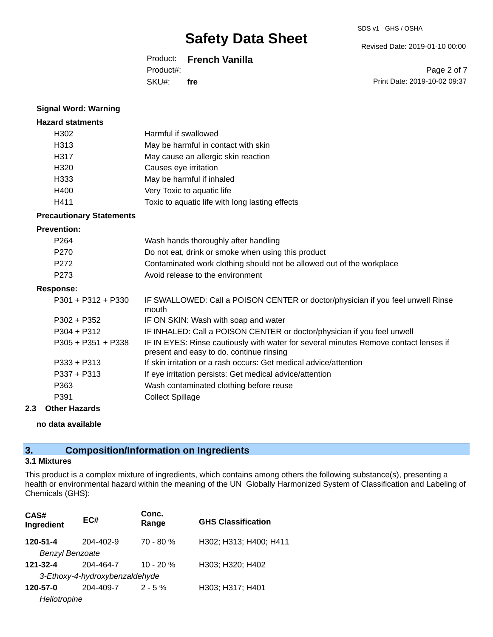#### Product: **French Vanilla**

SKU#: Product#: **fre** Revised Date: 2019-01-10 00:00

Page 2 of 7 Print Date: 2019-10-02 09:37

| <b>Signal Word: Warning</b>     |                                                                                                                                  |
|---------------------------------|----------------------------------------------------------------------------------------------------------------------------------|
| <b>Hazard statments</b>         |                                                                                                                                  |
| H302                            | Harmful if swallowed                                                                                                             |
| H <sub>3</sub> 13               | May be harmful in contact with skin                                                                                              |
| H317                            | May cause an allergic skin reaction                                                                                              |
| H320                            | Causes eye irritation                                                                                                            |
| H333                            | May be harmful if inhaled                                                                                                        |
| H400                            | Very Toxic to aquatic life                                                                                                       |
| H411                            | Toxic to aquatic life with long lasting effects                                                                                  |
| <b>Precautionary Statements</b> |                                                                                                                                  |
| <b>Prevention:</b>              |                                                                                                                                  |
| P <sub>264</sub>                | Wash hands thoroughly after handling                                                                                             |
| P270                            | Do not eat, drink or smoke when using this product                                                                               |
| P272                            | Contaminated work clothing should not be allowed out of the workplace                                                            |
| P273                            | Avoid release to the environment                                                                                                 |
| <b>Response:</b>                |                                                                                                                                  |
| P301 + P312 + P330              | IF SWALLOWED: Call a POISON CENTER or doctor/physician if you feel unwell Rinse<br>mouth                                         |
| $P302 + P352$                   | IF ON SKIN: Wash with soap and water                                                                                             |
| $P304 + P312$                   | IF INHALED: Call a POISON CENTER or doctor/physician if you feel unwell                                                          |
| $P305 + P351 + P338$            | IF IN EYES: Rinse cautiously with water for several minutes Remove contact lenses if<br>present and easy to do. continue rinsing |
| $P333 + P313$                   | If skin irritation or a rash occurs: Get medical advice/attention                                                                |
| $P337 + P313$                   | If eye irritation persists: Get medical advice/attention                                                                         |
| P363                            | Wash contaminated clothing before reuse                                                                                          |
| P391                            | <b>Collect Spillage</b>                                                                                                          |

#### **2.3 Other Hazards**

#### **no data available**

## **3. Composition/Information on Ingredients**

### **3.1 Mixtures**

This product is a complex mixture of ingredients, which contains among others the following substance(s), presenting a health or environmental hazard within the meaning of the UN Globally Harmonized System of Classification and Labeling of Chemicals (GHS):

| CAS#<br>Ingredient     | EC#                            | Conc.<br>Range | <b>GHS Classification</b> |
|------------------------|--------------------------------|----------------|---------------------------|
| 120-51-4               | 204-402-9                      | $70 - 80 %$    | H302; H313; H400; H411    |
| <b>Benzyl Benzoate</b> |                                |                |                           |
| 121-32-4               | 204-464-7                      | $10 - 20 %$    | H303; H320; H402          |
|                        | 3-Ethoxy-4-hydroxybenzaldehyde |                |                           |
| 120-57-0               | 204-409-7                      | $2 - 5\%$      | H303; H317; H401          |
| Heliotropine           |                                |                |                           |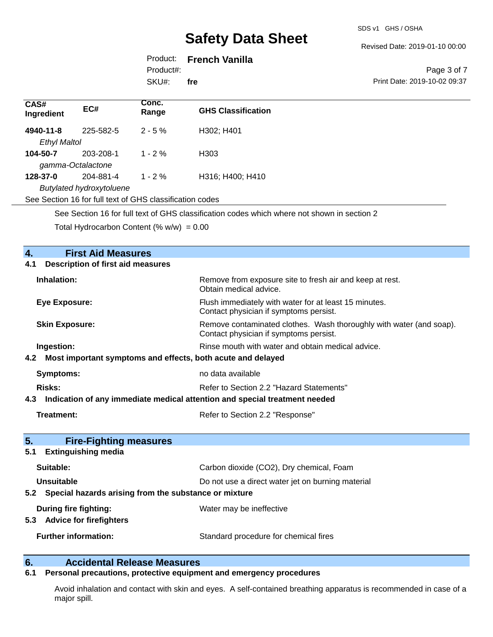#### Revised Date: 2019-01-10 00:00

## Product: **French Vanilla**

SKU#: Product#: **fre**

Page 3 of 7 Print Date: 2019-10-02 09:37

| CAS#<br>Ingredient                                                                          | EC#                                                      | Conc.<br>Range | <b>GHS Classification</b> |
|---------------------------------------------------------------------------------------------|----------------------------------------------------------|----------------|---------------------------|
| 4940-11-8                                                                                   | 225-582-5                                                | $2 - 5%$       | H302; H401                |
| <b>Ethyl Maltol</b>                                                                         |                                                          |                |                           |
| 104-50-7                                                                                    | 203-208-1                                                | $1 - 2 \%$     | H <sub>303</sub>          |
|                                                                                             | gamma-Octalactone                                        |                |                           |
| 128-37-0                                                                                    | 204-881-4                                                | $1 - 2 \%$     | H316; H400; H410          |
|                                                                                             | <b>Butylated hydroxytoluene</b>                          |                |                           |
|                                                                                             | See Section 16 for full text of GHS classification codes |                |                           |
| See Section 16 for full text of GHS classification codes which where not shown in section 2 |                                                          |                |                           |
|                                                                                             | Total Hydrocarbon Content $(\% w/w) = 0.00$              |                |                           |
|                                                                                             |                                                          |                |                           |
|                                                                                             | <b>First Aid Measures</b>                                |                |                           |
| 4.1                                                                                         | <b>Description of first aid measures</b>                 |                |                           |
|                                                                                             |                                                          |                |                           |

| Inhalation:                                                                       | Remove from exposure site to fresh air and keep at rest.<br>Obtain medical advice.                            |  |
|-----------------------------------------------------------------------------------|---------------------------------------------------------------------------------------------------------------|--|
| <b>Eye Exposure:</b>                                                              | Flush immediately with water for at least 15 minutes.<br>Contact physician if symptoms persist.               |  |
| <b>Skin Exposure:</b>                                                             | Remove contaminated clothes. Wash thoroughly with water (and soap).<br>Contact physician if symptoms persist. |  |
| Ingestion:                                                                        | Rinse mouth with water and obtain medical advice.                                                             |  |
| Most important symptoms and effects, both acute and delayed<br>4.2                |                                                                                                               |  |
| <b>Symptoms:</b>                                                                  | no data available                                                                                             |  |
| <b>Risks:</b>                                                                     | Refer to Section 2.2 "Hazard Statements"                                                                      |  |
| Indication of any immediate medical attention and special treatment needed<br>4.3 |                                                                                                               |  |
| <b>Treatment:</b>                                                                 | Refer to Section 2.2 "Response"                                                                               |  |
| 5.<br><b>Fire-Fighting measures</b>                                               |                                                                                                               |  |
| <b>Extinguishing media</b><br>5.1                                                 |                                                                                                               |  |
| Suitable:                                                                         | Carbon dioxide (CO2), Dry chemical, Foam                                                                      |  |
| Unsuitable                                                                        | Do not use a direct water jet on burning material                                                             |  |
| Special hazards arising from the substance or mixture<br>5.2                      |                                                                                                               |  |
| <b>During fire fighting:</b>                                                      | Water may be ineffective                                                                                      |  |
| <b>Advice for firefighters</b><br>5.3                                             |                                                                                                               |  |
| <b>Further information:</b>                                                       | Standard procedure for chemical fires                                                                         |  |
|                                                                                   |                                                                                                               |  |

# **6. Calcidental Release Measures**<br>**6.1 Personal precautions, protective equipm**

## **6.1 Personal precautions, protective equipment and emergency procedures**

Avoid inhalation and contact with skin and eyes. A self-contained breathing apparatus is recommended in case of a major spill.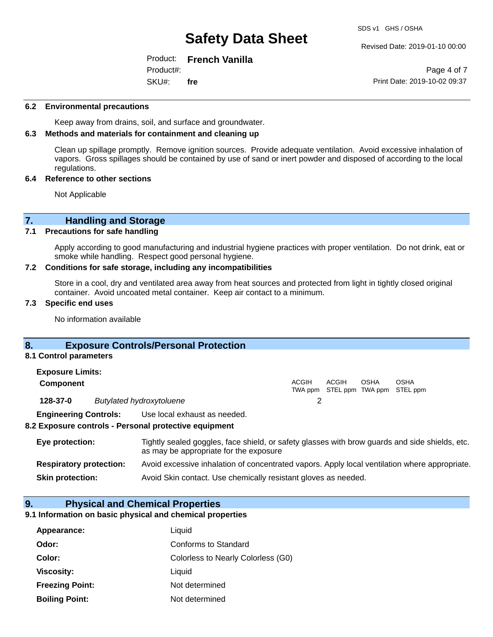#### Revised Date: 2019-01-10 00:00

#### Product: **French Vanilla** SKU#: Product#: **fre**

Page 4 of 7 Print Date: 2019-10-02 09:37

#### **6.2 Environmental precautions**

Keep away from drains, soil, and surface and groundwater.

### **6.3 Methods and materials for containment and cleaning up**

Clean up spillage promptly. Remove ignition sources. Provide adequate ventilation. Avoid excessive inhalation of vapors. Gross spillages should be contained by use of sand or inert powder and disposed of according to the local regulations.

#### **6.4 Reference to other sections**

Not Applicable

### **7. Handling and Storage**

#### **7.1 Precautions for safe handling**

Apply according to good manufacturing and industrial hygiene practices with proper ventilation. Do not drink, eat or smoke while handling. Respect good personal hygiene.

#### **7.2 Conditions for safe storage, including any incompatibilities**

Store in a cool, dry and ventilated area away from heat sources and protected from light in tightly closed original container. Avoid uncoated metal container. Keep air contact to a minimum.

#### **7.3 Specific end uses**

No information available

### **8. Exposure Controls/Personal Protection**

#### **8.1 Control parameters**

| <b>Exposure Limits:</b><br><b>Component</b> |  |                              | ACGIH | ACGIH | OSHA | OSHA                              |
|---------------------------------------------|--|------------------------------|-------|-------|------|-----------------------------------|
|                                             |  |                              |       |       |      | TWA ppm STEL ppm TWA ppm STEL ppm |
| 128-37-0<br><b>Butylated hydroxytoluene</b> |  |                              |       |       |      |                                   |
| <b>Engineering Controls:</b>                |  | Use local exhaust as needed. |       |       |      |                                   |

#### **8.2 Exposure controls - Personal protective equipment**

| Eye protection:                | Tightly sealed goggles, face shield, or safety glasses with brow guards and side shields, etc.<br>as may be appropriate for the exposure |
|--------------------------------|------------------------------------------------------------------------------------------------------------------------------------------|
| <b>Respiratory protection:</b> | Avoid excessive inhalation of concentrated vapors. Apply local ventilation where appropriate.                                            |
| <b>Skin protection:</b>        | Avoid Skin contact. Use chemically resistant gloves as needed.                                                                           |

#### **9. Physical and Chemical Properties**

#### **9.1 Information on basic physical and chemical properties**

| Appearance:            | Liquid                             |
|------------------------|------------------------------------|
| Odor:                  | Conforms to Standard               |
| Color:                 | Colorless to Nearly Colorless (G0) |
| <b>Viscosity:</b>      | Liquid                             |
| <b>Freezing Point:</b> | Not determined                     |
| <b>Boiling Point:</b>  | Not determined                     |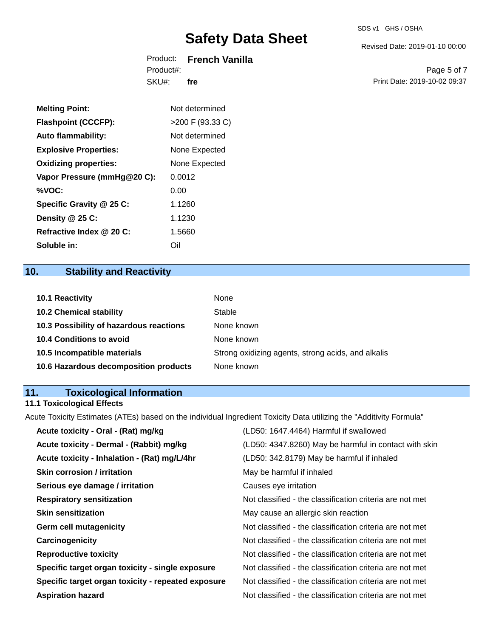Revised Date: 2019-01-10 00:00

|           | Product: French Vanilla |
|-----------|-------------------------|
| Product#: |                         |
| SKU#:     | fre                     |

Page 5 of 7 Print Date: 2019-10-02 09:37

| <b>Melting Point:</b>        | Not determined     |
|------------------------------|--------------------|
|                              |                    |
| <b>Flashpoint (CCCFP):</b>   | $>200$ F (93.33 C) |
| <b>Auto flammability:</b>    | Not determined     |
| <b>Explosive Properties:</b> | None Expected      |
| <b>Oxidizing properties:</b> | None Expected      |
| Vapor Pressure (mmHg@20 C):  | 0.0012             |
| %VOC:                        | 0.00               |
| Specific Gravity @ 25 C:     | 1.1260             |
| Density @ 25 C:              | 1.1230             |
| Refractive Index @ 20 C:     | 1.5660             |

## **10. Stability and Reactivity**

**Soluble in:** Oil

| <b>10.1 Reactivity</b>                  | None                                               |
|-----------------------------------------|----------------------------------------------------|
| <b>10.2 Chemical stability</b>          | Stable                                             |
| 10.3 Possibility of hazardous reactions | None known                                         |
| <b>10.4 Conditions to avoid</b>         | None known                                         |
| 10.5 Incompatible materials             | Strong oxidizing agents, strong acids, and alkalis |
| 10.6 Hazardous decomposition products   | None known                                         |

## **11. Toxicological Information**

### **11.1 Toxicological Effects**

Acute Toxicity Estimates (ATEs) based on the individual Ingredient Toxicity Data utilizing the "Additivity Formula"

| Acute toxicity - Oral - (Rat) mg/kg                | (LD50: 1647.4464) Harmful if swallowed                   |
|----------------------------------------------------|----------------------------------------------------------|
| Acute toxicity - Dermal - (Rabbit) mg/kg           | (LD50: 4347.8260) May be harmful in contact with skin    |
| Acute toxicity - Inhalation - (Rat) mg/L/4hr       | (LD50: 342.8179) May be harmful if inhaled               |
| <b>Skin corrosion / irritation</b>                 | May be harmful if inhaled                                |
| Serious eye damage / irritation                    | Causes eye irritation                                    |
| <b>Respiratory sensitization</b>                   | Not classified - the classification criteria are not met |
| <b>Skin sensitization</b>                          | May cause an allergic skin reaction                      |
| <b>Germ cell mutagenicity</b>                      | Not classified - the classification criteria are not met |
| Carcinogenicity                                    | Not classified - the classification criteria are not met |
| <b>Reproductive toxicity</b>                       | Not classified - the classification criteria are not met |
| Specific target organ toxicity - single exposure   | Not classified - the classification criteria are not met |
| Specific target organ toxicity - repeated exposure | Not classified - the classification criteria are not met |
| <b>Aspiration hazard</b>                           | Not classified - the classification criteria are not met |
|                                                    |                                                          |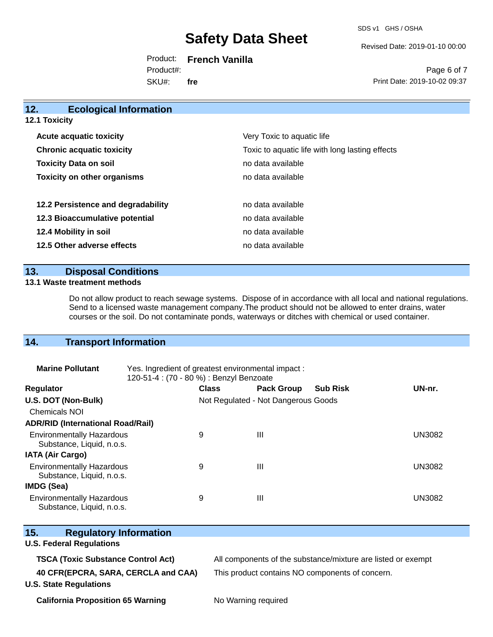SDS v1 GHS / OSHA

Revised Date: 2019-01-10 00:00

Product: **French Vanilla** SKU#: Product#: **fre**

Page 6 of 7 Print Date: 2019-10-02 09:37

| 12.<br><b>Ecological Information</b> |                                                 |
|--------------------------------------|-------------------------------------------------|
| <b>12.1 Toxicity</b>                 |                                                 |
| <b>Acute acquatic toxicity</b>       | Very Toxic to aquatic life                      |
| <b>Chronic acquatic toxicity</b>     | Toxic to aquatic life with long lasting effects |
| <b>Toxicity Data on soil</b>         | no data available                               |
| <b>Toxicity on other organisms</b>   | no data available                               |
| 12.2 Persistence and degradability   | no data available                               |
| 12.3 Bioaccumulative potential       | no data available                               |
| 12.4 Mobility in soil                | no data available                               |
| 12.5 Other adverse effects           | no data available                               |
|                                      |                                                 |

## **13. Disposal Conditions**

#### **13.1 Waste treatment methods**

Do not allow product to reach sewage systems. Dispose of in accordance with all local and national regulations. Send to a licensed waste management company.The product should not be allowed to enter drains, water courses or the soil. Do not contaminate ponds, waterways or ditches with chemical or used container.

## **14. Transport Information**

| <b>Marine Pollutant</b>                                       | Yes. Ingredient of greatest environmental impact:<br>120-51-4 : (70 - 80 %) : Benzyl Benzoate |              |                                     |                 |               |
|---------------------------------------------------------------|-----------------------------------------------------------------------------------------------|--------------|-------------------------------------|-----------------|---------------|
| <b>Regulator</b>                                              |                                                                                               | <b>Class</b> | <b>Pack Group</b>                   | <b>Sub Risk</b> | UN-nr.        |
| U.S. DOT (Non-Bulk)                                           |                                                                                               |              | Not Regulated - Not Dangerous Goods |                 |               |
| <b>Chemicals NOI</b>                                          |                                                                                               |              |                                     |                 |               |
| <b>ADR/RID (International Road/Rail)</b>                      |                                                                                               |              |                                     |                 |               |
| <b>Environmentally Hazardous</b><br>Substance, Liquid, n.o.s. |                                                                                               | 9            | Ш                                   |                 | <b>UN3082</b> |
| <b>IATA (Air Cargo)</b>                                       |                                                                                               |              |                                     |                 |               |
| <b>Environmentally Hazardous</b><br>Substance, Liquid, n.o.s. |                                                                                               | 9            | Ш                                   |                 | <b>UN3082</b> |
| <b>IMDG (Sea)</b>                                             |                                                                                               |              |                                     |                 |               |
| <b>Environmentally Hazardous</b><br>Substance, Liquid, n.o.s. |                                                                                               | 9            | Ш                                   |                 | <b>UN3082</b> |

| 15.<br><b>Regulatory Information</b>      |                                                              |
|-------------------------------------------|--------------------------------------------------------------|
| <b>U.S. Federal Regulations</b>           |                                                              |
| <b>TSCA (Toxic Substance Control Act)</b> | All components of the substance/mixture are listed or exempt |
| 40 CFR(EPCRA, SARA, CERCLA and CAA)       | This product contains NO components of concern.              |
| <b>U.S. State Regulations</b>             |                                                              |
| <b>California Proposition 65 Warning</b>  | No Warning required                                          |